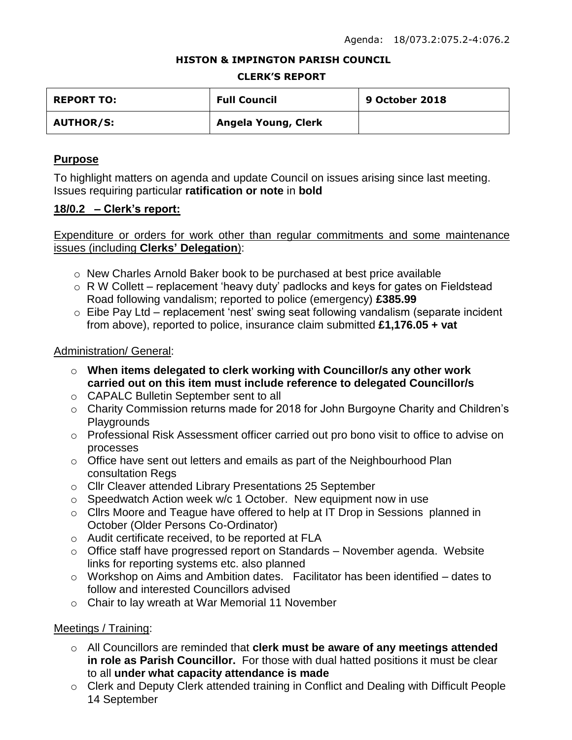### **HISTON & IMPINGTON PARISH COUNCIL**

#### **CLERK'S REPORT**

| <b>REPORT TO:</b> | <b>Full Council</b> | <b>9 October 2018</b> |
|-------------------|---------------------|-----------------------|
| <b>AUTHOR/S:</b>  | Angela Young, Clerk |                       |

## **Purpose**

To highlight matters on agenda and update Council on issues arising since last meeting. Issues requiring particular **ratification or note** in **bold**

## **18/0.2 – Clerk's report:**

Expenditure or orders for work other than regular commitments and some maintenance issues (including **Clerks' Delegation**):

- o New Charles Arnold Baker book to be purchased at best price available
- $\circ$  R W Collett replacement 'heavy duty' padlocks and keys for gates on Fieldstead Road following vandalism; reported to police (emergency) **£385.99**
- $\circ$  Eibe Pay Ltd replacement 'nest' swing seat following vandalism (separate incident from above), reported to police, insurance claim submitted **£1,176.05 + vat**

## Administration/ General:

- o **When items delegated to clerk working with Councillor/s any other work carried out on this item must include reference to delegated Councillor/s**
- o CAPALC Bulletin September sent to all
- o Charity Commission returns made for 2018 for John Burgoyne Charity and Children's Playgrounds
- o Professional Risk Assessment officer carried out pro bono visit to office to advise on processes
- $\circ$  Office have sent out letters and emails as part of the Neighbourhood Plan consultation Regs
- o Cllr Cleaver attended Library Presentations 25 September
- o Speedwatch Action week w/c 1 October. New equipment now in use
- o Cllrs Moore and Teague have offered to help at IT Drop in Sessions planned in October (Older Persons Co-Ordinator)
- o Audit certificate received, to be reported at FLA
- $\circ$  Office staff have progressed report on Standards November agenda. Website links for reporting systems etc. also planned
- $\circ$  Workshop on Aims and Ambition dates. Facilitator has been identified dates to follow and interested Councillors advised
- o Chair to lay wreath at War Memorial 11 November

## Meetings / Training:

- o All Councillors are reminded that **clerk must be aware of any meetings attended in role as Parish Councillor.** For those with dual hatted positions it must be clear to all **under what capacity attendance is made**
- o Clerk and Deputy Clerk attended training in Conflict and Dealing with Difficult People 14 September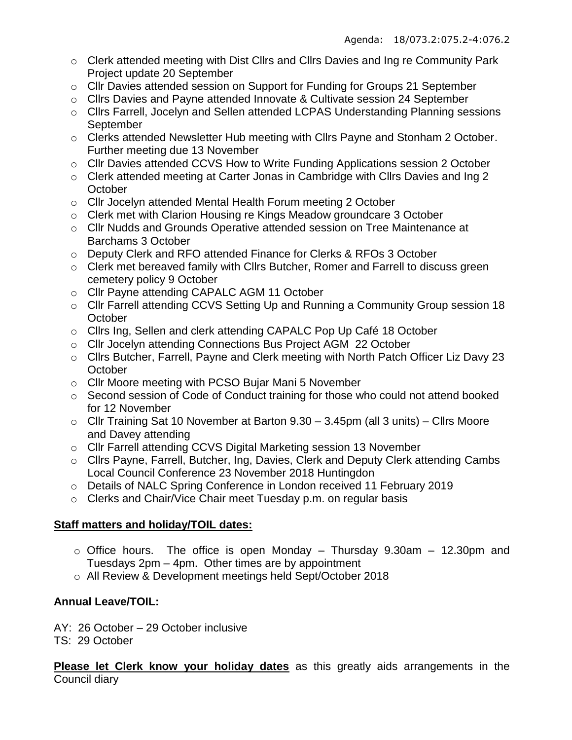- o Clerk attended meeting with Dist Cllrs and Cllrs Davies and Ing re Community Park Project update 20 September
- o Cllr Davies attended session on Support for Funding for Groups 21 September
- o Cllrs Davies and Payne attended Innovate & Cultivate session 24 September
- o Cllrs Farrell, Jocelyn and Sellen attended LCPAS Understanding Planning sessions **September**
- o Clerks attended Newsletter Hub meeting with Cllrs Payne and Stonham 2 October. Further meeting due 13 November
- o Cllr Davies attended CCVS How to Write Funding Applications session 2 October
- o Clerk attended meeting at Carter Jonas in Cambridge with Cllrs Davies and Ing 2 **October**
- o Cllr Jocelyn attended Mental Health Forum meeting 2 October
- o Clerk met with Clarion Housing re Kings Meadow groundcare 3 October
- o Cllr Nudds and Grounds Operative attended session on Tree Maintenance at Barchams 3 October
- o Deputy Clerk and RFO attended Finance for Clerks & RFOs 3 October
- o Clerk met bereaved family with Cllrs Butcher, Romer and Farrell to discuss green cemetery policy 9 October
- o Cllr Payne attending CAPALC AGM 11 October
- o Cllr Farrell attending CCVS Setting Up and Running a Community Group session 18 **October**
- o Cllrs Ing, Sellen and clerk attending CAPALC Pop Up Café 18 October
- o Cllr Jocelyn attending Connections Bus Project AGM 22 October
- o Cllrs Butcher, Farrell, Payne and Clerk meeting with North Patch Officer Liz Davy 23 **October**
- o Cllr Moore meeting with PCSO Bujar Mani 5 November
- o Second session of Code of Conduct training for those who could not attend booked for 12 November
- $\circ$  Cllr Training Sat 10 November at Barton 9.30 3.45pm (all 3 units) Cllrs Moore and Davey attending
- o Cllr Farrell attending CCVS Digital Marketing session 13 November
- o Cllrs Payne, Farrell, Butcher, Ing, Davies, Clerk and Deputy Clerk attending Cambs Local Council Conference 23 November 2018 Huntingdon
- o Details of NALC Spring Conference in London received 11 February 2019
- o Clerks and Chair/Vice Chair meet Tuesday p.m. on regular basis

# **Staff matters and holiday/TOIL dates:**

- $\circ$  Office hours. The office is open Monday Thursday 9.30am 12.30pm and Tuesdays 2pm – 4pm. Other times are by appointment
- o All Review & Development meetings held Sept/October 2018

# **Annual Leave/TOIL:**

AY: 26 October – 29 October inclusive

TS: 29 October

**Please let Clerk know your holiday dates** as this greatly aids arrangements in the Council diary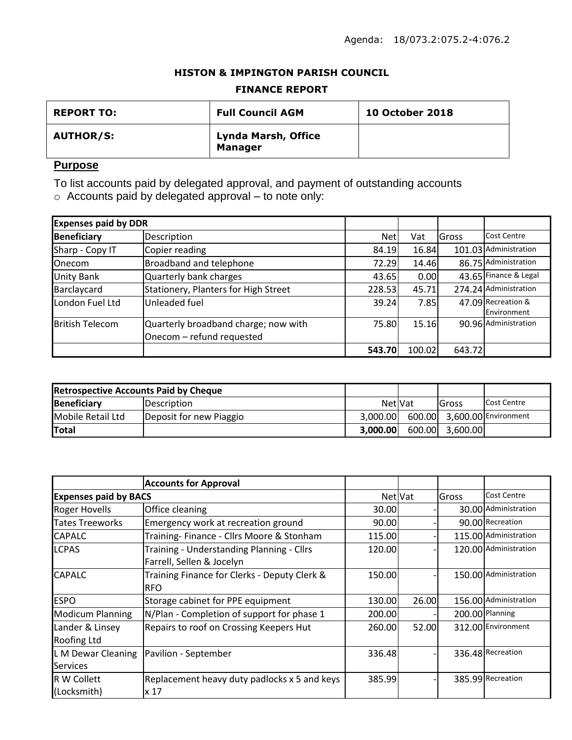## **HISTON & IMPINGTON PARISH COUNCIL**

### **FINANCE REPORT**

| <b>REPORT TO:</b> | <b>Full Council AGM</b>               | <b>10 October 2018</b> |
|-------------------|---------------------------------------|------------------------|
| <b>AUTHOR/S:</b>  | Lynda Marsh, Office<br><b>Manager</b> |                        |

# **Purpose**

To list accounts paid by delegated approval, and payment of outstanding accounts

 $\circ$  Accounts paid by delegated approval – to note only:

| <b>Expenses paid by DDR</b> |                                                                   |            |        |        |                                   |
|-----------------------------|-------------------------------------------------------------------|------------|--------|--------|-----------------------------------|
| <b>Beneficiary</b>          | Description                                                       | <b>Net</b> | Vat    | Gross  | <b>Cost Centre</b>                |
| Sharp - Copy IT             | Copier reading                                                    | 84.19      | 16.84  |        | 101.03 Administration             |
| <b>Onecom</b>               | Broadband and telephone                                           | 72.29      | 14.46  |        | 86.75 Administration              |
| <b>Unity Bank</b>           | Quarterly bank charges                                            | 43.65      | 0.00   |        | 43.65 Finance & Legal             |
| Barclaycard                 | Stationery, Planters for High Street                              | 228.53     | 45.71  |        | 274.24 Administration             |
| London Fuel Ltd             | Unleaded fuel                                                     | 39.24      | 7.85   |        | 47.09 Recreation &<br>Environment |
| <b>British Telecom</b>      | Quarterly broadband charge; now with<br>Onecom - refund requested | 75.80      | 15.16  |        | 90.96 Administration              |
|                             |                                                                   | 543.70     | 100.02 | 643.72 |                                   |

| <b>Retrospective Accounts Paid by Cheque</b> |                         |                |        |          |                             |
|----------------------------------------------|-------------------------|----------------|--------|----------|-----------------------------|
| Beneficiary                                  | <b>Description</b>      | <b>NetIVat</b> |        | lGross   | Cost Centre                 |
| Mobile Retail Ltd                            | Deposit for new Piaggio | 3.000.00       |        |          | 600.00 3,600.00 Environment |
| <b>Total</b>                                 |                         | 3.000.00       | 600.00 | 3.600.00 |                             |

|                                       | <b>Accounts for Approval</b>                                           |         |       |       |                       |
|---------------------------------------|------------------------------------------------------------------------|---------|-------|-------|-----------------------|
| <b>Expenses paid by BACS</b>          |                                                                        | Net Vat |       | Gross | <b>Cost Centre</b>    |
| <b>Roger Hovells</b>                  | Office cleaning                                                        | 30.00   |       |       | 30.00 Administration  |
| <b>Tates Treeworks</b>                | Emergency work at recreation ground                                    | 90.00   |       |       | 90.00 Recreation      |
| <b>CAPALC</b>                         | Training-Finance - Cllrs Moore & Stonham                               | 115.00  |       |       | 115.00 Administration |
| <b>LCPAS</b>                          | Training - Understanding Planning - Cllrs<br>Farrell, Sellen & Jocelyn | 120.00  |       |       | 120.00 Administration |
| <b>CAPALC</b>                         | Training Finance for Clerks - Deputy Clerk &<br><b>IRFO</b>            | 150.00  |       |       | 150.00 Administration |
| <b>ESPO</b>                           | Storage cabinet for PPE equipment                                      | 130.00  | 26.00 |       | 156.00 Administration |
| <b>Modicum Planning</b>               | N/Plan - Completion of support for phase 1                             | 200.00  |       |       | 200.00 Planning       |
| Lander & Linsey<br><b>Roofing Ltd</b> | <b>Repairs to roof on Crossing Keepers Hut</b>                         | 260.00  | 52.00 |       | 312.00 Environment    |
| <b>Services</b>                       | L M Dewar Cleaning   Pavilion - September                              | 336.48  |       |       | 336.48 Recreation     |
| <b>R W Collett</b><br>(Locksmith)     | Replacement heavy duty padlocks x 5 and keys<br>x 17                   | 385.99  |       |       | 385.99 Recreation     |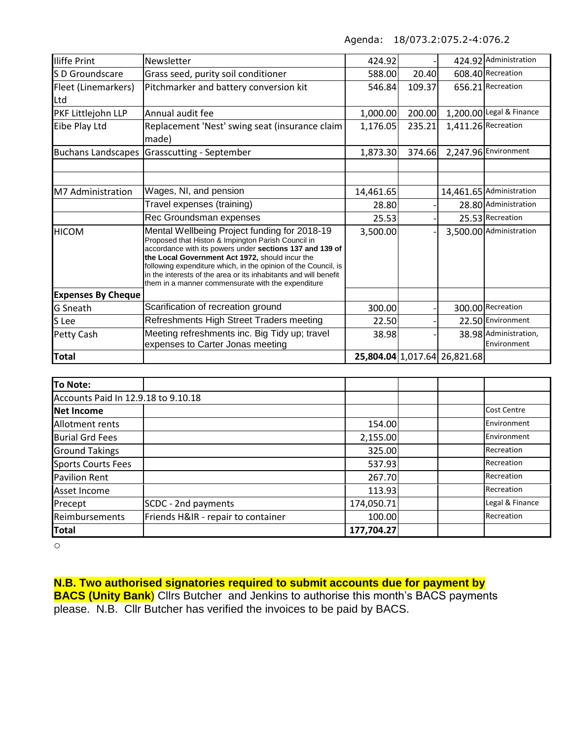Agenda: 18/073.2:075.2-4:076.2

| Iliffe Print              | Newsletter                                                                                                                                                                                                                                                                                                                                                                                                    | 424.92    |        |                              | 424.92 Administration    |
|---------------------------|---------------------------------------------------------------------------------------------------------------------------------------------------------------------------------------------------------------------------------------------------------------------------------------------------------------------------------------------------------------------------------------------------------------|-----------|--------|------------------------------|--------------------------|
| S D Groundscare           | Grass seed, purity soil conditioner                                                                                                                                                                                                                                                                                                                                                                           | 588.00    | 20.40  |                              | 608.40 Recreation        |
| Fleet (Linemarkers)       | Pitchmarker and battery conversion kit                                                                                                                                                                                                                                                                                                                                                                        | 546.84    | 109.37 |                              | 656.21 Recreation        |
| Ltd                       |                                                                                                                                                                                                                                                                                                                                                                                                               |           |        |                              |                          |
| PKF Littlejohn LLP        | Annual audit fee                                                                                                                                                                                                                                                                                                                                                                                              | 1,000.00  | 200.00 |                              | 1,200.00 Legal & Finance |
| Eibe Play Ltd             | Replacement 'Nest' swing seat (insurance claim                                                                                                                                                                                                                                                                                                                                                                | 1,176.05  | 235.21 |                              | 1,411.26 Recreation      |
|                           | made)                                                                                                                                                                                                                                                                                                                                                                                                         |           |        |                              |                          |
| <b>Buchans Landscapes</b> | Grasscutting - September                                                                                                                                                                                                                                                                                                                                                                                      | 1,873.30  | 374.66 |                              | 2,247.96 Environment     |
|                           |                                                                                                                                                                                                                                                                                                                                                                                                               |           |        |                              |                          |
|                           |                                                                                                                                                                                                                                                                                                                                                                                                               |           |        |                              |                          |
| M7 Administration         | Wages, NI, and pension                                                                                                                                                                                                                                                                                                                                                                                        | 14,461.65 |        |                              | 14,461.65 Administration |
|                           | Travel expenses (training)                                                                                                                                                                                                                                                                                                                                                                                    | 28.80     |        |                              | 28.80 Administration     |
|                           | Rec Groundsman expenses                                                                                                                                                                                                                                                                                                                                                                                       | 25.53     |        |                              | 25.53 Recreation         |
| <b>HICOM</b>              | Mental Wellbeing Project funding for 2018-19<br>Proposed that Histon & Impington Parish Council in<br>accordance with its powers under sections 137 and 139 of<br>the Local Government Act 1972, should incur the<br>following expenditure which, in the opinion of the Council, is<br>in the interests of the area or its inhabitants and will benefit<br>them in a manner commensurate with the expenditure | 3,500.00  |        |                              | 3,500.00 Administration  |
| <b>Expenses By Cheque</b> |                                                                                                                                                                                                                                                                                                                                                                                                               |           |        |                              |                          |
| <b>G</b> Sneath           | Scarification of recreation ground                                                                                                                                                                                                                                                                                                                                                                            | 300.00    |        |                              | 300.00 Recreation        |
| S Lee                     | Refreshments High Street Traders meeting                                                                                                                                                                                                                                                                                                                                                                      | 22.50     |        |                              | 22.50 Environment        |
| Petty Cash                | Meeting refreshments inc. Big Tidy up; travel                                                                                                                                                                                                                                                                                                                                                                 | 38.98     |        |                              | 38.98 Administration,    |
|                           | expenses to Carter Jonas meeting                                                                                                                                                                                                                                                                                                                                                                              |           |        |                              | Environment              |
| Total                     |                                                                                                                                                                                                                                                                                                                                                                                                               |           |        | 25,804.04 1,017.64 26,821.68 |                          |

| To Note:                            |                                    |            |                    |
|-------------------------------------|------------------------------------|------------|--------------------|
| Accounts Paid In 12.9.18 to 9.10.18 |                                    |            |                    |
| <b>INet Income</b>                  |                                    |            | <b>Cost Centre</b> |
| Allotment rents                     |                                    | 154.00     | Environment        |
| <b>Burial Grd Fees</b>              |                                    | 2,155.00   | Environment        |
| <b>Ground Takings</b>               |                                    | 325.00     | Recreation         |
| <b>Sports Courts Fees</b>           |                                    | 537.93     | Recreation         |
| <b>Pavilion Rent</b>                |                                    | 267.70     | Recreation         |
| Asset Income                        |                                    | 113.93     | Recreation         |
| Precept                             | SCDC - 2nd payments                | 174,050.71 | Legal & Finance    |
| Reimbursements                      | Friends H&IR - repair to container | 100.00     | Recreation         |
| <b>Total</b>                        |                                    | 177,704.27 |                    |

o

**N.B. Two authorised signatories required to submit accounts due for payment by BACS (Unity Bank**) Cllrs Butcher and Jenkins to authorise this month's BACS payments please. N.B. Cllr Butcher has verified the invoices to be paid by BACS.